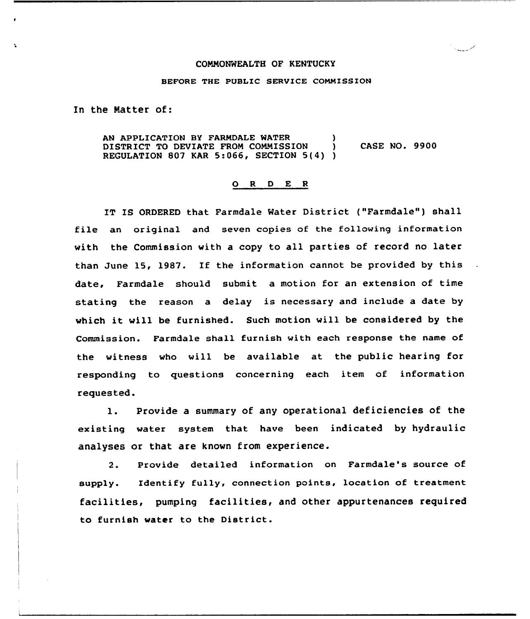## COMMONWEALTH OF KENTUCKY

محب الباردان

## SEPORE THE PUBLIC SERVICE COMMISSION

ln the Matter of:

AN APPLICATION BY FARMDALE WATER (1998)<br>DISTRICT TO DEVIATE FROM COMMISSION (1998) DISTRICT TO DEVIATE FROM COMMISSION ) REGULATION 807 KAR 5:066, SECTION 5(4) ) CASE NO. 9900

## 0 <sup>R</sup> <sup>D</sup> <sup>E</sup> <sup>R</sup>

IT IS ORDERED that Farmdale Water District ("Farmdale") shall file an original and seven copies of the following information vith the Commission with a copy to all parties of record no later than June 15, 1987. If the information cannot be provided by this date, Farmdale should submit a motion for an extension of time stating the reason a delay is necessary and include a date by vhich it vill be furnished. Such motion vill be considered by the Commission. Farmdale shall furnish with each response the name of the witness vho vill be available at the public hearing for responding to questions concerning each item of information requested.

1. Provide <sup>a</sup> summary of any operational deficiencies of the existing water system that have been indicated by hydraulic analyses or that are knovn from experience.

2. Provide detailed information on Farmdale's source of supply. Identify fully, connection points, location of treatment facilities, pumping facilities, and other appurtenances required to furnish vater to the District.